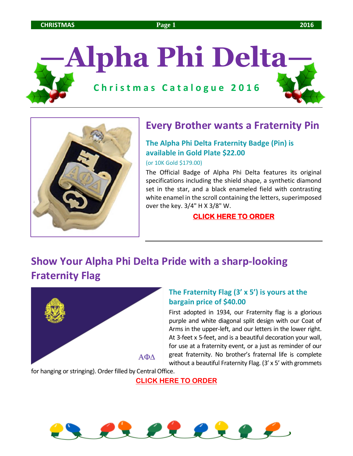# **—Alpha Phi Delta— C h r i s t m a s C a t a l o g u e 2 0 1 6**



## **Every Brother wants a Fraternity Pin**

#### **The Alpha Phi Delta Fraternity Badge (Pin) is available in Gold Plate \$22.00**

(or 10K Gold \$179.00)

The Official Badge of Alpha Phi Delta features its original specifications including the shield shape, a synthetic diamond set in the star, and a black enameled field with contrasting white enamel in the scroll containing the letters, superimposed over the key. 3/4" H X 3/8" W.

#### **[CLICK HERE TO ORDER](https://www.hjgreek.com/index.cfm?event=Product.showProduct&OrganizationCategory_ID=293&Product_ID=10045)**

## **Show Your Alpha Phi Delta Pride with a sharp-looking Fraternity Flag**



#### **The Fraternity Flag (3' x 5') is yours at the bargain price of \$40.00**

First adopted in 1934, our Fraternity flag is a glorious purple and white diagonal split design with our Coat of Arms in the upper-left, and our letters in the lower right. At 3-feet x 5-feet, and is a beautiful decoration your wall, for use at a fraternity event, or a just as reminder of our great fraternity. No brother's fraternal life is complete without a beautiful Fraternity Flag. (3' x 5' with grommets

for hanging or stringing). Order filled by Central Office.

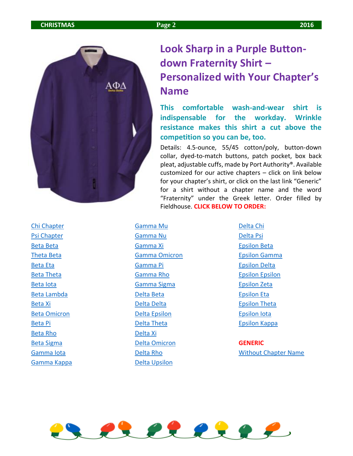

## **Look Sharp in a Purple Buttondown Fraternity Shirt – Personalized with Your Chapter's Name**

**This comfortable wash-and-wear shirt is indispensable for the workday. Wrinkle resistance makes this shirt a cut above the competition so you can be, too.** 

Details: 4.5-ounce, 55/45 cotton/poly, button-down collar, dyed-to-match buttons, patch pocket, box back pleat, adjustable cuffs, made by Port Authority®. Available customized for our active chapters – click on link below for your chapter's shirt, or click on the last link "Generic" for a shirt without a chapter name and the word "Fraternity" under the Greek letter. Order filled by Fieldhouse. **CLICK BELOW TO ORDER:**

[Chi Chapter](http://fhstore.com/Shopping/FHShop5.aspx?PON=74811&CON=75947&CNUM=0&RNUM=0&ASN=&VSN=&AC=&SCN=18&CN=157&PN=26740&GCN=Purple%2fLt+Stone&GCC=265&FDC=001e3s00232&TDC=&DLN=Left&DLC=03&EN=Chi+Chapter&EF=Block+Font&EC=%23eac41d&EN2=&EF2=Block+Font&EC2=%252) [Psi Chapter](http://fhstore.com/Shopping/FHShop5.aspx?PON=74811&CON=75947&CNUM=0&RNUM=0&ASN=&VSN=&AC=&SCN=18&CN=157&PN=26740&GCN=Purple%2fLt+Stone&GCC=265&FDC=001e3s00232&TDC=&DLN=Left&DLC=03&EN=Psi+Chapter&EF=Block+Font&EC=%23eac41d&EN2=&EF2=Block+Font&EC2=%252) [Beta Beta](http://fhstore.com/Shopping/FHShop5.aspx?PON=74811&CON=75947&CNUM=0&RNUM=0&ASN=&VSN=&AC=&SCN=18&CN=157&PN=26740&GCN=Purple%2fLt+Stone&GCC=265&FDC=001e3s00232&TDC=&DLN=Left&DLC=03&EN=Beta+Beta&EF=Block+Font&EC=%23eac41d&EN2=&EF2=Block+Font&EC2=%23e) [Theta Beta](http://fhstore.com/Shopping/FHShop5.aspx?PON=74811&CON=75947&CNUM=0&RNUM=0&ASN=&VSN=&AC=&SCN=18&CN=157&PN=26740&GCN=Purple%2fLt+Stone&GCC=265&FDC=001e3s00232&TDC=&DLN=Left&DLC=03&EN=Theta+Beta&EF=Block+Font&EC=%23eac41d&EN2=&EF2=Block+Font&EC2=%23) [Beta Eta](http://fhstore.com/Shopping/FHShop5.aspx?PON=74811&CON=75947&CNUM=0&RNUM=0&ASN=&VSN=&AC=&SCN=18&CN=157&PN=26740&GCN=Purple%2fLt+Stone&GCC=265&FDC=001e3s00232&TDC=&DLN=Left&DLC=03&EN=Beta+Eta&EF=Block+Font&EC=%23eac41d&EN2=&EF2=Block+Font&EC2=%23ee) [Beta Theta](http://fhstore.com/Shopping/FHShop5.aspx?PON=74811&CON=75947&CNUM=0&RNUM=0&ASN=&VSN=&AC=&SCN=18&CN=157&PN=26740&GCN=Purple%2fLt+Stone&GCC=265&FDC=001e3s00232&TDC=&DLN=Left&DLC=03&EN=Beta+Theta&EF=Block+Font&EC=%23eac41d&EN2=&EF2=Block+Font&EC2=%23) [Beta Iota](http://fhstore.com/Shopping/FHShop5.aspx?PON=74811&CON=75947&CNUM=0&RNUM=0&ASN=&VSN=&AC=&SCN=18&CN=157&PN=26740&GCN=Purple%2fLt+Stone&GCC=265&FDC=001e3s00232&TDC=&DLN=Left&DLC=03&EN=Beta+Iota&EF=Block+Font&EC=%23eac41d&EN2=&EF2=Block+Font&EC2=%23e) [Beta Lambda](http://fhstore.com/Shopping/FHShop5.aspx?PON=74811&CON=75947&CNUM=0&RNUM=0&ASN=&VSN=&AC=&SCN=18&CN=157&PN=26740&GCN=Purple%2fLt+Stone&GCC=265&FDC=001e3s00232&TDC=&DLN=Left&DLC=03&EN=Beta+Lambda&EF=Block+Font&EC=%23eac41d&EN2=&EF2=Block+Font&EC2=%252) [Beta Xi](http://fhstore.com/Shopping/FHShop5.aspx?PON=74811&CON=75947&CNUM=0&RNUM=0&ASN=&VSN=&AC=&SCN=18&CN=157&PN=26740&GCN=Purple%2fLt+Stone&GCC=265&FDC=001e3s00232&TDC=&DLN=Left&DLC=03&EN=Beta+Xi&EF=Block+Font&EC=%23eac41d&EN2=&EF2=Block+Font&EC2=%23eee) [Beta Omicron](http://fhstore.com/Shopping/FHShop5.aspx?PON=74811&CON=75947&CNUM=0&RNUM=0&ASN=&VSN=&AC=&SCN=18&CN=157&PN=26740&GCN=Purple%2fLt+Stone&GCC=265&FDC=001e3s00232&TDC=&DLN=Left&DLC=03&EN=Beta+Omicron&EF=Block+Font&EC=%23eac41d&EN2=&EF2=Block+Font&EC2=%25) [Beta Pi](http://fhstore.com/Shopping/FHShop5.aspx?PON=74811&CON=75947&CNUM=0&RNUM=0&ASN=&VSN=&AC=&SCN=18&CN=157&PN=26740&GCN=Purple%2fLt+Stone&GCC=265&FDC=001e3s00232&TDC=&DLN=Left&DLC=03&EN=Beta+Pi&EF=Block+Font&EC=%23eac41d&EN2=&EF2=Block+Font&EC2=%23eee) [Beta Rho](http://fhstore.com/Shopping/FHShop5.aspx?PON=74811&CON=75947&CNUM=0&RNUM=0&ASN=&VSN=&AC=&SCN=18&CN=157&PN=26740&GCN=Purple%2fLt+Stone&GCC=265&FDC=001e3s00232&TDC=&DLN=Left&DLC=03&EN=Beta+Rho&EF=Block+Font&EC=%23eac41d&EN2=&EF2=Block+Font&EC2=%23ee) [Beta Sigma](http://fhstore.com/Shopping/FHShop5.aspx?PON=74811&CON=75947&CNUM=0&RNUM=0&ASN=&VSN=&AC=&SCN=18&CN=157&PN=26740&GCN=Purple%2fLt+Stone&GCC=265&FDC=001e3s00232&TDC=&DLN=Left&DLC=03&EN=Beta+Sigma&EF=Block+Font&EC=%23eac41d&EN2=&EF2=Block+Font&EC2=%23) [Gamma Iota](http://fhstore.com/Shopping/FHShop5.aspx?PON=74811&CON=75947&CNUM=0&RNUM=0&ASN=&VSN=&AC=&SCN=18&CN=157&PN=26740&GCN=Purple%2fLt+Stone&GCC=265&FDC=001e3s00232&TDC=&DLN=Left&DLC=03&EN=Gamma+Iota&EF=Block+Font&EC=%23eac41d&EN2=&EF2=Block+Font&EC2=%23) [Gamma Kappa](http://fhstore.com/Shopping/FHShop5.aspx?PON=74811&CON=75947&CNUM=0&RNUM=0&ASN=&VSN=&AC=&SCN=18&CN=157&PN=26740&GCN=Purple%2fLt+Stone&GCC=265&FDC=001e3s00232&TDC=&DLN=Left&DLC=03&EN=Gamma+Kappa&EF=Block+Font&EC=%23eac41d&EN2=&EF2=Block+Font&EC2=%252) [Gamma Mu](http://fhstore.com/Shopping/FHShop5.aspx?PON=74811&CON=75947&CNUM=0&RNUM=0&ASN=&VSN=&AC=&SCN=18&CN=157&PN=26740&GCN=Purple%2fLt+Stone&GCC=265&FDC=001e3s00232&TDC=&DLN=Left&DLC=03&EN=Gamma+Mu&EF=Block+Font&EC=%23eac41d&EN2=&EF2=Block+Font&EC2=%23ee) [Gamma Nu](http://fhstore.com/Shopping/FHShop5.aspx?PON=74811&CON=75947&CNUM=0&RNUM=0&ASN=&VSN=&AC=&SCN=18&CN=157&PN=26740&GCN=Purple%2fLt+Stone&GCC=265&FDC=001e3s00232&TDC=&DLN=Left&DLC=03&EN=Gamma+Nu&EF=Block+Font&EC=%23eac41d&EN2=&EF2=Block+Font&EC2=%23ee) [Gamma Xi](http://fhstore.com/Shopping/FHShop5.aspx?PON=74811&CON=75947&CNUM=0&RNUM=0&ASN=&VSN=&AC=&SCN=18&CN=157&PN=26740&GCN=Purple%2fLt+Stone&GCC=265&FDC=001e3s00232&TDC=&DLN=Left&DLC=03&EN=Gamma+Xi&EF=Block+Font&EC=%23eac41d&EN2=&EF2=Block+Font&EC2=%23ee) [Gamma Omicron](http://fhstore.com/Shopping/FHShop5.aspx?PON=74811&CON=75947&CNUM=0&RNUM=0&ASN=&VSN=&AC=&SCN=18&CN=157&PN=26740&GCN=Purple%2fLt+Stone&GCC=265&FDC=001e3s00232&TDC=&DLN=Left&DLC=03&EN=Gamma+Omicron&EF=Block+Font&EC=%23eac41d&EN2=&EF2=Block+Font&EC2=) [Gamma Pi](http://fhstore.com/Shopping/FHShop5.aspx?PON=74811&CON=75947&CNUM=0&RNUM=0&ASN=&VSN=&AC=&SCN=18&CN=157&PN=26740&GCN=Purple%2fLt+Stone&GCC=265&FDC=001e3s00232&TDC=&DLN=Left&DLC=03&EN=Gamma+Pi&EF=Block+Font&EC=%23eac41d&EN2=&EF2=Block+Font&EC2=%23ee) [Gamma Rho](http://fhstore.com/Shopping/FHShop5.aspx?PON=74811&CON=75947&CNUM=0&RNUM=0&ASN=&VSN=&AC=&SCN=18&CN=157&PN=26740&GCN=Purple%2fLt+Stone&GCC=265&FDC=001e3s00232&TDC=&DLN=Left&DLC=03&EN=Gamma+Rho&EF=Block+Font&EC=%23eac41d&EN2=&EF2=Block+Font&EC2=%23e) [Gamma Sigma](http://fhstore.com/Shopping/FHShop5.aspx?PON=74811&CON=75947&CNUM=0&RNUM=0&ASN=&VSN=&AC=&SCN=18&CN=157&PN=26740&GCN=Purple%2fLt+Stone&GCC=265&FDC=001e3s00232&TDC=&DLN=Left&DLC=03&EN=Gamma+Sigma&EF=Block+Font&EC=%23eac41d&EN2=&EF2=Block+Font&EC2=%252) [Delta Beta](http://fhstore.com/Shopping/FHShop5.aspx?PON=74811&CON=75947&CNUM=0&RNUM=0&ASN=&VSN=&AC=&SCN=18&CN=157&PN=26740&GCN=Purple%2fLt+Stone&GCC=265&FDC=001e3s00232&TDC=&DLN=Left&DLC=03&EN=Delta+Beta&EF=Block+Font&EC=%23eac41d&EN2=&EF2=Block+Font&EC2=%23) [Delta Delta](http://fhstore.com/Shopping/FHShop5.aspx?PON=74811&CON=75947&CNUM=0&RNUM=0&ASN=&VSN=&AC=&SCN=18&CN=157&PN=26740&GCN=Purple%2fLt+Stone&GCC=265&FDC=001e3s00232&TDC=&DLN=Left&DLC=03&EN=Delta+Delta&EF=Block+Font&EC=%23eac41d&EN2=&EF2=Block+Font&EC2=%252) [Delta Epsilon](http://fhstore.com/Shopping/FHShop5.aspx?PON=74811&CON=75947&CNUM=0&RNUM=0&ASN=&VSN=&AC=&SCN=18&CN=157&PN=26740&GCN=Purple%2fLt+Stone&GCC=265&FDC=001e3s00232&TDC=&DLN=Left&DLC=03&EN=Delta+Epsilon&EF=Block+Font&EC=%23eac41d&EN2=&EF2=Block+Font&EC2=) [Delta Theta](http://fhstore.com/Shopping/FHShop5.aspx?PON=74811&CON=75947&CNUM=0&RNUM=0&ASN=&VSN=&AC=&SCN=18&CN=157&PN=26740&GCN=Purple%2fLt+Stone&GCC=265&FDC=001e3s00232&TDC=&DLN=Left&DLC=03&EN=Delta+Theta&EF=Block+Font&EC=%23eac41d&EN2=&EF2=Block+Font&EC2=%252) [Delta Xi](http://fhstore.com/Shopping/FHShop5.aspx?PON=74811&CON=75947&CNUM=0&RNUM=0&ASN=&VSN=&AC=&SCN=18&CN=157&PN=26740&GCN=Purple%2fLt+Stone&GCC=265&FDC=001e3s00232&TDC=&DLN=Left&DLC=03&EN=Delta+Xi&EF=Block+Font&EC=%23eac41d&EN2=&EF2=Block+Font&EC2=%23ee) [Delta Omicron](http://fhstore.com/Shopping/FHShop5.aspx?PON=74811&CON=75947&CNUM=0&RNUM=0&ASN=&VSN=&AC=&SCN=18&CN=157&PN=26740&GCN=Purple%2fLt+Stone&GCC=265&FDC=001e3s00232&TDC=&DLN=Left&DLC=03&EN=Delta+Omicron&EF=Block+Font&EC=%23eac41d&EN2=&EF2=Block+Font&EC2=) [Delta Rho](http://fhstore.com/Shopping/FHShop5.aspx?PON=74811&CON=75947&CNUM=0&RNUM=0&ASN=&VSN=&AC=&SCN=18&CN=157&PN=26740&GCN=Purple%2fLt+Stone&GCC=265&FDC=001e3s00232&TDC=&DLN=Left&DLC=03&EN=Delta+Rho&EF=Block+Font&EC=%23eac41d&EN2=&EF2=Block+Font&EC2=%23e) [Delta Upsilon](http://fhstore.com/Shopping/FHShop5.aspx?PON=74811&CON=75947&CNUM=0&RNUM=0&ASN=&VSN=&AC=&SCN=18&CN=157&PN=26740&GCN=Purple%2fLt+Stone&GCC=265&FDC=001e3s00232&TDC=&DLN=Left&DLC=03&EN=Delta+Upsilon&EF=Block+Font&EC=%23eac41d&EN2=&EF2=Block+Font&EC2=)

[Delta Chi](http://fhstore.com/Shopping/FHShop5.aspx?PON=74811&CON=75947&CNUM=0&RNUM=0&ASN=&VSN=&AC=&SCN=18&CN=157&PN=26740&GCN=Purple%2fLt+Stone&GCC=265&FDC=001e3s00232&TDC=&DLN=Left&DLC=03&EN=Delta+Chi&EF=Block+Font&EC=%23eac41d&EN2=&EF2=Block+Font&EC2=%23e) [Delta Psi](http://fhstore.com/Shopping/FHShop5.aspx?PON=74811&CON=75947&CNUM=0&RNUM=0&ASN=&VSN=&AC=&SCN=18&CN=157&PN=26740&GCN=Purple%2fLt+Stone&GCC=265&FDC=001e3s00232&TDC=&DLN=Left&DLC=03&EN=Delta+Psi&EF=Block+Font&EC=%23eac41d&EN2=&EF2=Block+Font&EC2=%23e) [Epsilon Beta](http://fhstore.com/Shopping/FHShop5.aspx?PON=74811&CON=75947&CNUM=0&RNUM=0&ASN=&VSN=&AC=&SCN=18&CN=157&PN=26740&GCN=Purple%2fLt+Stone&GCC=265&FDC=001e3s00232&TDC=&DLN=Left&DLC=03&EN=Epsilon+Beta&EF=Block+Font&EC=%23eac41d&EN2=&EF2=Block+Font&EC2=%25) [Epsilon Gamma](http://fhstore.com/Shopping/FHShop5.aspx?PON=74811&CON=75947&CNUM=0&RNUM=0&ASN=&VSN=&AC=&SCN=18&CN=157&PN=26740&GCN=Purple%2fLt+Stone&GCC=265&FDC=001e3s00232&TDC=&DLN=Left&DLC=03&EN=Epsilon+Gamma&EF=Block+Font&EC=%23eac41d&EN2=&EF2=Block+Font&EC2=) [Epsilon Delta](http://fhstore.com/Shopping/FHShop5.aspx?PON=74811&CON=75947&CNUM=0&RNUM=0&ASN=&VSN=&AC=&SCN=18&CN=157&PN=26740&GCN=Purple%2fLt+Stone&GCC=265&FDC=001e3s00232&TDC=&DLN=Left&DLC=03&EN=Epsilon+Delta&EF=Block+Font&EC=%23eac41d&EN2=&EF2=Block+Font&EC2=) [Epsilon Epsilon](http://fhstore.com/Shopping/FHShop5.aspx?PON=74811&CON=75947&CNUM=0&RNUM=0&ASN=&VSN=&AC=&SCN=18&CN=157&PN=26740&GCN=Purple%2fLt+Stone&GCC=265&FDC=001e3s00232&TDC=&DLN=Left&DLC=03&EN=Epsilon+Epsilon&EF=Block+Font&EC=%23eac41d&EN2=&EF2=Block+Font&EC) [Epsilon Zeta](http://fhstore.com/Shopping/FHShop5.aspx?PON=74811&CON=75947&CNUM=0&RNUM=0&ASN=&VSN=&AC=&SCN=18&CN=157&PN=26740&GCN=Purple%2fLt+Stone&GCC=265&FDC=001e3s00232&TDC=&DLN=Left&DLC=03&EN=Epsilon+Zeta&EF=Block+Font&EC=%23eac41d&EN2=&EF2=Block+Font&EC2=%25) [Epsilon Eta](http://fhstore.com/Shopping/FHShop5.aspx?PON=74811&CON=75947&CNUM=0&RNUM=0&ASN=&VSN=&AC=&SCN=18&CN=157&PN=26740&GCN=Purple%2fLt+Stone&GCC=265&FDC=001e3s00232&TDC=&DLN=Left&DLC=03&EN=Epsilon+Eta&EF=Block+Font&EC=%23eac41d&EN2=&EF2=Block+Font&EC2=%252) [Epsilon Theta](http://fhstore.com/Shopping/FHShop5.aspx?PON=74811&CON=75947&CNUM=0&RNUM=0&ASN=&VSN=&AC=&SCN=18&CN=157&PN=26740&GCN=Purple%2fLt+Stone&GCC=265&FDC=001e3s00232&TDC=&DLN=Left&DLC=03&EN=Epsilon+Theta&EF=Block+Font&EC=%23eac41d&EN2=&EF2=Block+Font&EC2=) [Epsilon Iota](http://fhstore.com/Shopping/FHShop5.aspx?PON=74811&CON=75947&CNUM=0&RNUM=0&ASN=&VSN=&AC=&SCN=18&CN=157&PN=26740&GCN=Purple%2fLt+Stone&GCC=265&FDC=001e3s00232&TDC=&DLN=Left&DLC=03&EN=Epsilon+Iota&EF=Block+Font&EC=%23eac41d&EN2=&EF2=Block+Font&EC2=%25) [Epsilon Kappa](http://fhstore.com/Shopping/FHShop5.aspx?PON=74811&CON=75947&CNUM=0&RNUM=0&ASN=&VSN=&AC=&SCN=18&CN=157&PN=26740&GCN=Purple%2fLt+Stone&GCC=265&FDC=001e3s00232&TDC=&DLN=Left&DLC=03&EN=Epsilon+Kappa&EF=Block+Font&EC=%23eac41d&EN2=&EF2=Block+Font&EC2=)

**GENERIC** [Without Chapter Name](http://fhstore.com/Shopping/FHShop5.aspx?PON=74811&CON=75947&CNUM=0&RNUM=0&ASN=&VSN=&AC=&SCN=18&CN=157&PN=26740&GCN=Purple%2fLt+Stone&GCC=265&FDC=001e3s00232&TDC=&DLN=Left&DLC=03&EN=Fraternity&EF=Block+Font&EC=%23eac41d&EN2=&EF2=Block+Font&EC2=%23)

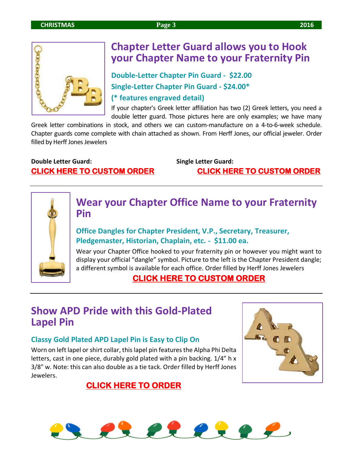

## **Chapter Letter Guard allows you to Hook your Chapter Name to your Fraternity Pin**

**Double-Letter Chapter Pin Guard - \$22.00 Single-Letter Chapter Pin Guard - \$24.00\* (\* features engraved detail)**

If your chapter's Greek letter affiliation has two (2) Greek letters, you need a double letter guard. Those pictures here are only examples; we have many

Greek letter combinations in stock, and others we can custom-manufacture on a 4-to-6-week schedule. Chapter guards come complete with chain attached as shown. From Herff Jones, our official jeweler. Order filled by Herff Jones Jewelers

### **Double Letter Guard: Single Letter Guard: [CLICK HERE TO CUSTOM ORDER](https://www.hjgreek.com/index.cfm?event=Product.showProduct&OrganizationCategory_ID=494&Product_ID=10028) [CLICK HERE TO CUSTOM ORDER](https://www.hjgreek.com/index.cfm?event=Product.showProduct&OrganizationCategory_ID=494&Product_ID=10245)**



## **Wear your Chapter Office Name to your Fraternity Pin**

#### **Office Dangles for Chapter President, V.P., Secretary, Treasurer, Pledgemaster, Historian, Chaplain, etc. - \$11.00 ea.**

Wear your Chapter Office hooked to your fraternity pin or however you might want to display your official "dangle" symbol. Picture to the left is the Chapter President dangle; a different symbol is available for each office. Order filled by Herff Jones Jewelers

## **[CLICK HERE TO CUSTOM ORDER](https://www.hjgreek.com/index.cfm?event=Products.showCategory&OrganizationCategory_ID=493)**

## **Show APD Pride with this Gold-Plated Lapel Pin**

#### **Classy Gold Plated APD Lapel Pin is Easy to Clip On**

Worn on left lapel or shirt collar, this lapel pin features the Alpha Phi Delta letters, cast in one piece, durably gold plated with a pin backing. 1/4" h x 3/8" w. Note: this can also double as a tie tack. Order filled by Herff Jones Jewelers.



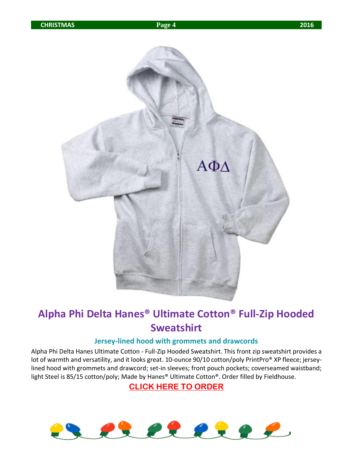

## **Alpha Phi Delta Hanes® Ultimate Cotton® Full-Zip Hooded Sweatshirt**

#### **Jersey-lined hood with grommets and drawcords**

Alpha Phi Delta Hanes Ultimate Cotton - Full-Zip Hooded Sweatshirt. This front zip sweatshirt provides a lot of warmth and versatility, and it looks great. 10-ounce 90/10 cotton/poly PrintPro® XP fleece; jerseylined hood with grommets and drawcord; set-in sleeves; front pouch pockets; coverseamed waistband; light Steel is 85/15 cotton/poly; Made by Hanes® Ultimate Cotton®. Order filled by Fieldhouse.

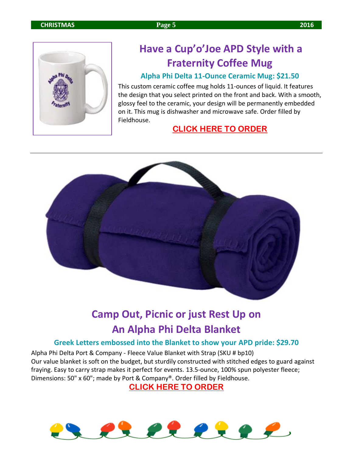

## **Have a Cup'o'Joe APD Style with a Fraternity Coffee Mug**

#### **Alpha Phi Delta 11-Ounce Ceramic Mug: \$21.50**

This custom ceramic coffee mug holds 11-ounces of liquid. It features the design that you select printed on the front and back. With a smooth, glossy feel to the ceramic, your design will be permanently embedded on it. This mug is dishwasher and microwave safe. Order filled by Fieldhouse.

#### **[CLICK HERE TO ORDER](http://fhstore.com/Shopping/FHShop3.aspx?PON=74811&CON=75947&CNUM=0&RNUM=0&ASN=&VSN=&AC=&SCN=62&CN=230&GCN=White&TDC=&SDC=001d19s00232&DLC=20&PN=26940)**



## **Camp Out, Picnic or just Rest Up on An Alpha Phi Delta Blanket**

#### **Greek Letters embossed into the Blanket to show your APD pride: \$29.70**

Alpha Phi Delta Port & Company - Fleece Value Blanket with Strap (SKU # bp10) Our value blanket is soft on the budget, but sturdily constructed with stitched edges to guard against fraying. Easy to carry strap makes it perfect for events. 13.5-ounce, 100% spun polyester fleece; Dimensions: 50" x 60"; made by Port & Company®. Order filled by Fieldhouse.

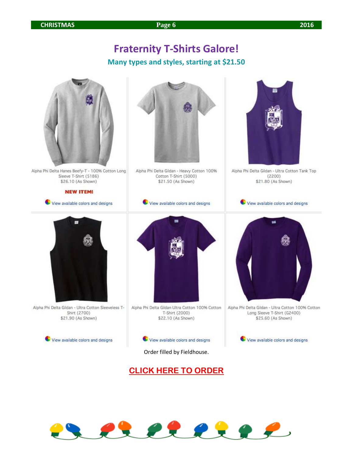## **Fraternity T-Shirts Galore!**

## **Many types and styles, starting at \$21.50**



Alpha Phi Delta Hanes Beefy-T - 100% Cotton Long Sleeve T-Shirt (5186) \$26.10 (As Shown)

**NEW ITEM!** 

View available colors and designs



Alpha Phi Delta Gildan - Heavy Cotton 100% Cotton T-Shirt (5000) \$21.50 (As Shown)

View available colors and designs



Alpha Phi Delta Gildan - Ultra Cotton Tank Top  $(2200)$ \$21.80 (As Shown)

View available colors and designs



Alpha Phi Delta Gildan - Ultra Cotton Sleeveless T-Shirt (2700) \$21.90 (As Shown)

View available colors and designs



Alpha Phi Delta Gildan Ultra Cotton 100% Cotton T-Shirt (2000) \$22.10 (As Shown)



Order filled by Fieldhouse.





Alpha Phi Delta Gildan - Ultra Cotton 100% Cotton Long Sleeve T-Shirt (G2400) \$25.60 (As Shown)

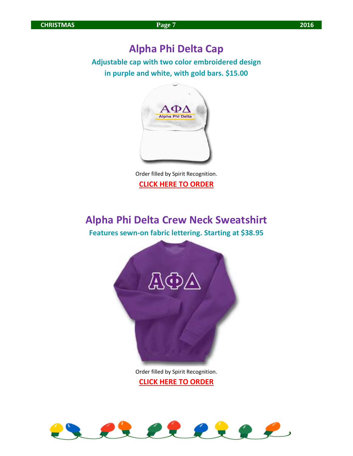## **Alpha Phi Delta Cap**

**Adjustable cap with two color embroidered design in purple and white, with gold bars. \$15.00**



Order filled by Spirit Recognition. **[CLICK HERE TO ORDER](http://store.spirit.cc/Alpha-Phi-Delta-Two-Line-Hat/productinfo/007-050330/)**

## **Alpha Phi Delta Crew Neck Sweatshirt**

**Features sewn-on fabric lettering. Starting at \$38.95**



Order filled by Spirit Recognition. **[CLICK HERE TO ORDER](http://store.spirit.cc/Alpha-Phi-Delta-Lettered-Sweatshirt-crew-neck/productinfo/007-020040/)**

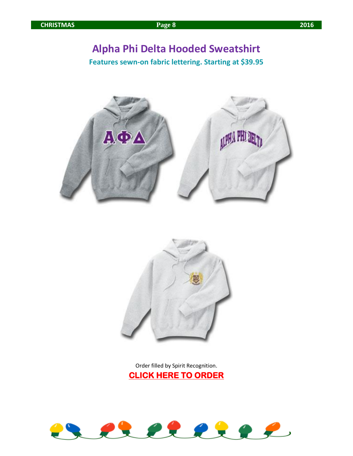## **Alpha Phi Delta Hooded Sweatshirt**

**Features sewn-on fabric lettering. Starting at \$39.95**





Order filled by Spirit Recognition. **[CLICK HERE TO ORDER](http://store.spirit.cc/Hooded/products/66/)** 

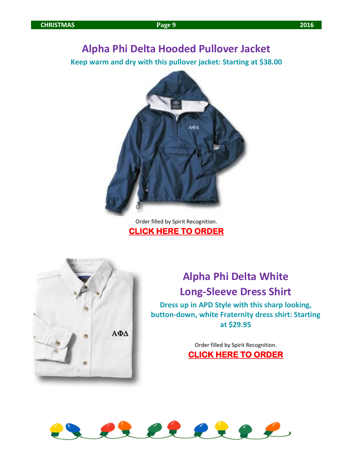## **Alpha Phi Delta Hooded Pullover Jacket**

**Keep warm and dry with this pullover jacket: Starting at \$38.00**



#### Order filled by Spirit Recognition. **[CLICK HERE TO ORDER](http://store.spirit.cc/Alpha-Phi-Delta-Hooded-Pullover-Jacket/productinfo/007-040210/1442|1433/)**



**Alpha Phi Delta White Long-Sleeve Dress Shirt**

**Dress up in APD Style with this sharp looking, button-down, white Fraternity dress shirt: Starting at \$29.95**

> Order filled by Spirit Recognition. **[CLICK HERE TO ORDER](http://store.spirit.cc/Alpha-Phi-Delta-Dress-Shirt/productinfo/007-036210/)**

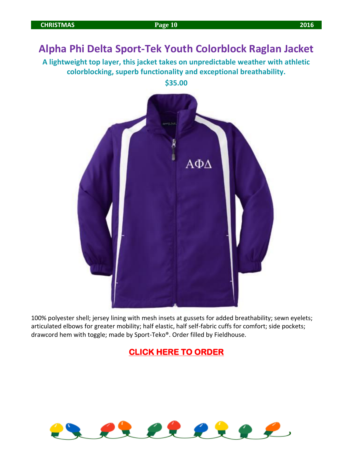## **Alpha Phi Delta Sport-Tek Youth Colorblock Raglan Jacket**

**A lightweight top layer, this jacket takes on unpredictable weather with athletic colorblocking, superb functionality and exceptional breathability.**

**\$35.00**



100% polyester shell; jersey lining with mesh insets at gussets for added breathability; sewn eyelets; articulated elbows for greater mobility; half elastic, half self-fabric cuffs for comfort; side pockets; drawcord hem with toggle; made by Sport-Teko®. Order filled by Fieldhouse.

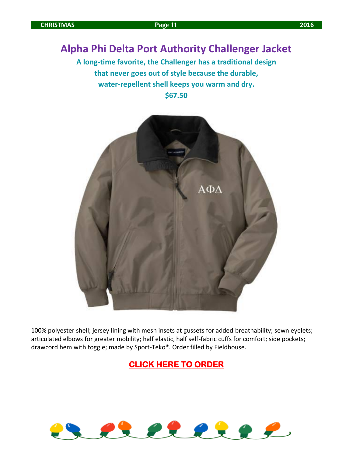## **Alpha Phi Delta Port Authority Challenger Jacket**

**A long-time favorite, the Challenger has a traditional design that never goes out of style because the durable, water-repellent shell keeps you warm and dry. \$67.50**



100% polyester shell; jersey lining with mesh insets at gussets for added breathability; sewn eyelets; articulated elbows for greater mobility; half elastic, half self-fabric cuffs for comfort; side pockets; drawcord hem with toggle; made by Sport-Teko®. Order filled by Fieldhouse.

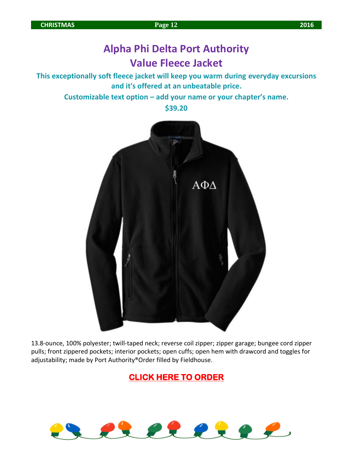## **Alpha Phi Delta Port Authority Value Fleece Jacket**

**This exceptionally soft fleece jacket will keep you warm during everyday excursions and it's offered at an unbeatable price.**

**Customizable text option – add your name or your chapter's name.**

**\$39.20**



13.8-ounce, 100% polyester; twill-taped neck; reverse coil zipper; zipper garage; bungee cord zipper pulls; front zippered pockets; interior pockets; open cuffs; open hem with drawcord and toggles for adjustability; made by Port Authority®Order filled by Fieldhouse.

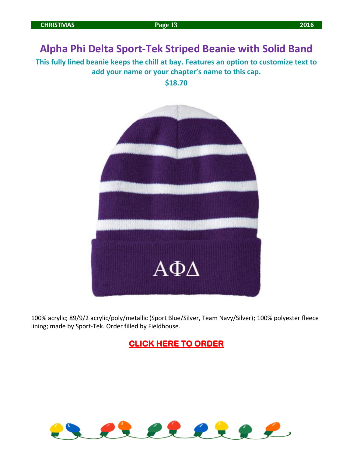## **Alpha Phi Delta Sport-Tek Striped Beanie with Solid Band**

**This fully lined beanie keeps the chill at bay. Features an option to customize text to add your name or your chapter's name to this cap.**

**\$18.70**



100% acrylic; 89/9/2 acrylic/poly/metallic (Sport Blue/Silver, Team Navy/Silver); 100% polyester fleece lining; made by Sport-Tek. Order filled by Fieldhouse.

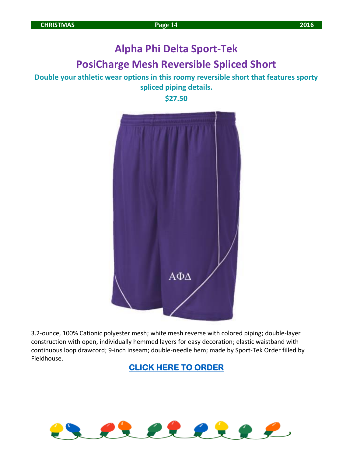## **Alpha Phi Delta Sport-Tek PosiCharge Mesh Reversible Spliced Short**

#### **Double your athletic wear options in this roomy reversible short that features sporty spliced piping details.**

**\$27.50**



3.2-ounce, 100% Cationic polyester mesh; white mesh reverse with colored piping; double-layer construction with open, individually hemmed layers for easy decoration; elastic waistband with continuous loop drawcord; 9-inch inseam; double-needle hem; made by Sport-Tek Order filled by Fieldhouse.

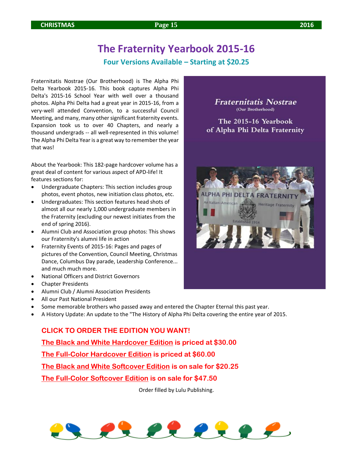## **The Fraternity Yearbook 2015-16**

#### **Four Versions Available – Starting at \$20.25**

Fraternitatis Nostrae (Our Brotherhood) is The Alpha Phi Delta Yearbook 2015-16. This book captures Alpha Phi Delta's 2015-16 School Year with well over a thousand photos. Alpha Phi Delta had a great year in 2015-16, from a very-well attended Convention, to a successful Council Meeting, and many, many other significant fraternity events. Expansion took us to over 40 Chapters, and nearly a thousand undergrads -- all well-represented in this volume! The Alpha Phi Delta Year is a great way to remember the year that was!

About the Yearbook: This 182-page hardcover volume has a great deal of content for various aspect of APD-life! It features sections for:

- Undergraduate Chapters: This section includes group photos, event photos, new initiation class photos, etc.
- Undergraduates: This section features head shots of almost all our nearly 1,000 undergraduate members in the Fraternity (excluding our newest initiates from the end of spring 2016).
- Alumni Club and Association group photos: This shows our Fraternity's alumni life in action
- Fraternity Events of 2015-16: Pages and pages of pictures of the Convention, Council Meeting, Christmas Dance, Columbus Day parade, Leadership Conference... and much much more.
- National Officers and District Governors
- Chapter Presidents
- Alumni Club / Alumni Association Presidents
- All our Past National President
- Some memorable brothers who passed away and entered the Chapter Eternal this past year.
- A History Update: An update to the "The History of Alpha Phi Delta covering the entire year of 2015.

#### **CLICK TO ORDER THE EDITION YOU WANT!**

**[The Black and White Hardcover Edition](http://www.lulu.com/shop/apd-central-office/alpha-phi-delta-yearbook-2015-16-black-and-white/hardcover/product-22729459.html) is priced at \$30.00**

**[The Full-Color Hardcover Edition](http://www.lulu.com/shop/apd-central-office/alpha-phi-delta-yearbook-2015-16-full-color/hardcover/product-22722534.html) is priced at \$60.00**

**[The Black and White Softcover Edition](http://www.lulu.com/shop/apd-central-office/alpha-phi-delta-yearbook-2015-16-black-white-softcover/paperback/product-22752317.html) is on sale for \$20.25**

**[The Full-Color Softcover Edition](http://www.lulu.com/shop/apd-central-office/alpha-phi-delta-yearbook-2015-16-color-softcover/paperback/product-22752304.html) is on sale for \$47.50**

Order filled by Lulu Publishing.



## **Fraternitatis Nostrae** (Our Brotherhood)

The 2015-16 Yearbook of Alpha Phi Delta Fraternity

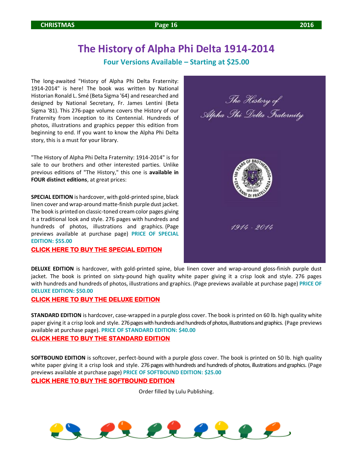## **The History of Alpha Phi Delta 1914-2014**

#### **Four Versions Available – Starting at \$25.00**

The long-awaited "History of Alpha Phi Delta Fraternity: 1914-2014" is here! The book was written by National Historian Ronald L. Smé (Beta Sigma '64) and researched and designed by National Secretary, Fr. James Lentini (Beta Sigma '81). This 276-page volume covers the History of our Fraternity from inception to its Centennial. Hundreds of photos, illustrations and graphics pepper this edition from beginning to end. If you want to know the Alpha Phi Delta story, this is a must for your library.

"The History of Alpha Phi Delta Fraternity: 1914-2014" is for sale to our brothers and other interested parties. Unlike previous editions of "The History," this one is **available in FOUR distinct editions**, at great prices:

**SPECIAL EDITION** is hardcover, with gold-printed spine, black linen cover and wrap-around matte-finish purple dust jacket. The book is printed on classic-toned cream color pages giving it a traditional look and style. 276 pages with hundreds and hundreds of photos, illustrations and graphics. (Page previews available at purchase page) **PRICE OF SPECIAL EDITION: \$55.00**

**[CLICK HERE TO BUY THE SPECIAL EDITION](http://www.lulu.com/shop/apd-central-office/the-history-of-alpha-phi-delta-fraternity-1914-2014-special-edition/hardcover/product-22482929.html)**



**DELUXE EDITION** is hardcover, with gold-printed spine, blue linen cover and wrap-around gloss-finish purple dust jacket. The book is printed on sixty-pound high quality white paper giving it a crisp look and style. 276 pages with hundreds and hundreds of photos, illustrations and graphics. (Page previews available at purchase page) **PRICE OF DELUXE EDITION: \$50.00**

#### **[CLICK HERE TO BUY THE DELUXE EDITION](http://www.lulu.com/shop/apd-central-office/the-history-of-alpha-phi-delta-fraternity-deluxe-edition/hardcover/product-22482134.html)**

**STANDARD EDITION** is hardcover, case-wrapped in a purple gloss cover. The book is printed on 60 lb. high quality white paper giving it a crisp look and style. 276 pages with hundreds and hundreds of photos, illustrations and graphics. (Page previews available at purchase page). **PRICE OF STANDARD EDITION: \$40.00**

#### **[CLICK HERE TO BUY THE STANDARD EDITION](http://www.lulu.com/shop/apd-central-office/history-of-alpha-phi-delta-fraternity-1914-2014-standard-edition/hardcover/product-22482150.html)**

**SOFTBOUND EDITION** is softcover, perfect-bound with a purple gloss cover. The book is printed on 50 lb. high quality white paper giving it a crisp look and style. 276 pages with hundreds and hundreds of photos, illustrations and graphics. (Page previews available at purchase page) **PRICE OF SOFTBOUND EDITION: \$25.00**

#### **[CLICK HERE TO BUY THE SOFTBOUND EDITION](http://www.lulu.com/shop/apd-central-office/the-history-of-alpha-phi-delta-fraternity-softbound-edition/paperback/product-22482182.html)**

Order filled by Lulu Publishing.

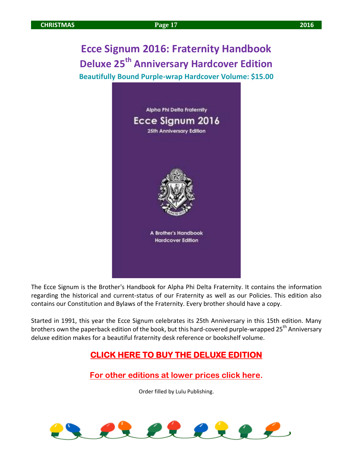**Ecce Signum 2016: Fraternity Handbook Deluxe 25th Anniversary Hardcover Edition Beautifully Bound Purple-wrap Hardcover Volume: \$15.00**



The Ecce Signum is the Brother's Handbook for Alpha Phi Delta Fraternity. It contains the information regarding the historical and current-status of our Fraternity as well as our Policies. This edition also contains our Constitution and Bylaws of the Fraternity. Every brother should have a copy.

Started in 1991, this year the Ecce Signum celebrates its 25th Anniversary in this 15th edition. Many brothers own the paperback edition of the book, but this hard-covered purple-wrapped 25<sup>th</sup> Anniversary deluxe edition makes for a beautiful fraternity desk reference or bookshelf volume.

## **[CLICK HERE TO BUY THE DELUXE EDITION](http://www.lulu.com/shop/apd-central-office/ecce-signum-2016-hardcover-edition/hardcover/product-22772325.html)**

**[For other editions at lower prices click here.](https://www.lulu.com/shop/search.ep?keyWords=Ecce+Signum&type=)**

Order filled by Lulu Publishing.

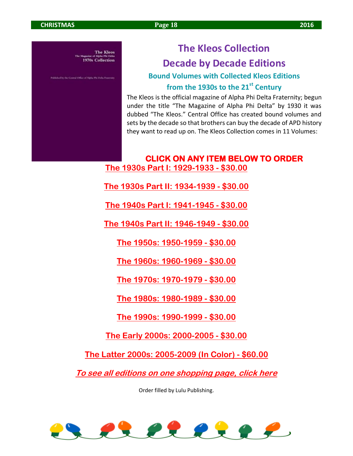**The Kleos** 1970s Collection

hed by the Central Office of Alpha Phi Delta Fraternity

## **The Kleos Collection Decade by Decade Editions**

**Bound Volumes with Collected Kleos Editions from the 1930s to the 21st Century**

The Kleos is the official magazine of Alpha Phi Delta Fraternity; begun under the title "The Magazine of Alpha Phi Delta" by 1930 it was dubbed "The Kleos." Central Office has created bound volumes and sets by the decade so that brothers can buy the decade of APD history they want to read up on. The Kleos Collection comes in 11 Volumes:

**CLICK ON ANY ITEM BELOW TO ORDER [The 1930s Part I: 1929-1933](http://www.lulu.com/shop/apd-central-office/the-kleos-1930s-collection-part-i1929-1933/hardcover/product-21684669.html) - \$30.00**

**[The 1930s Part II: 1934-1939](http://www.lulu.com/shop/apd-central-office/the-kleos-1930s-collection-part-2-1934-39/hardcover/product-21684685.html) - \$30.00**

**[The 1940s Part I: 1941-1945](http://www.lulu.com/shop/apd-central-office/the-kleos-1940s-collection-part-1-1940-1945/hardcover/product-21684693.html) - \$30.00**

**[The 1940s Part II: 1946-1949](http://www.lulu.com/shop/apd-central-office/the-kleos-1940s-collection-part-2-1946-1949/hardcover/product-21684707.html) - \$30.00**

**[The 1950s: 1950-1959](http://www.lulu.com/shop/apd-central-office/the-kleos-1950s-collection/hardcover/product-21684713.html) - \$30.00**

**[The 1960s: 1960-1969](http://www.lulu.com/shop/apd-central-office/the-kleos-1960s-collection/hardcover/product-21684725.html) - \$30.00**

**[The 1970s: 1970-1979](http://www.lulu.com/shop/apd-central-office/the-kleos-1970s-collection/hardcover/product-21684733.html) - \$30.00**

**[The 1980s: 1980-1989](http://www.lulu.com/shop/apd-central-office/the-kleos-1980s-collection/hardcover/product-21684868.html) - \$30.00**

**[The 1990s: 1990-1999](http://www.lulu.com/shop/apd-central-office/the-kleos-1990s-collection/hardcover/product-21684957.html) - \$30.00**

**[The Early 2000s: 2000-2005](http://www.lulu.com/shop/apd-central-office/the-kleos-2000-2005-collection/hardcover/product-21684970.html) - \$30.00**

**[The Latter 2000s: 2005-2009 \(In Color\)](http://www.lulu.com/shop/apd-central-office/the-kleos-2005-2009-collection/hardcover/product-21684987.html) - \$60.00**

**[To see all editions on one shopping page, click here](http://www.lulu.com/shop/search.ep?keyWords=Kleos+Collection&sorter=relevance-desc&pn=1)**

Order filled by Lulu Publishing.

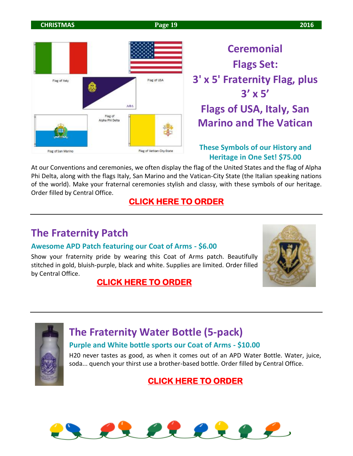**CHRISTMAS Page 19 2016** 



**Ceremonial Flags Set: 3' x 5' Fraternity Flag, plus 3' x 5' Flags of USA, Italy, San Marino and The Vatican**

#### **These Symbols of our History and Heritage in One Set! \$75.00**

At our Conventions and ceremonies, we often display the flag of the United States and the flag of Alpha Phi Delta, along with the flags Italy, San Marino and the Vatican-City State (the Italian speaking nations of the world). Make your fraternal ceremonies stylish and classy, with these symbols of our heritage. Order filled by Central Office.

## **[CLICK HERE TO ORDER](http://www.apd.org/store/p32/Ceremonial_Flags_Set_-_3%27_x_5%27_APD_Flag_plus_flags_of_USA%2C_Italy%2C_San_Marino_%26_Vatican.html)**

## **The Fraternity Patch**

#### **Awesome APD Patch featuring our Coat of Arms - \$6.00**

Show your fraternity pride by wearing this Coat of Arms patch. Beautifully stitched in gold, bluish-purple, black and white. Supplies are limited. Order filled by Central Office.

## **[CLICK HERE TO ORDER](http://www.apd.org/store/p33/APD_Coat_of_Arms_Patch.html)**





## **The Fraternity Water Bottle (5-pack)**

#### **Purple and White bottle sports our Coat of Arms - \$10.00**

H20 never tastes as good, as when it comes out of an APD Water Bottle. Water, juice, soda... quench your thirst use a brother-based bottle. Order filled by Central Office.